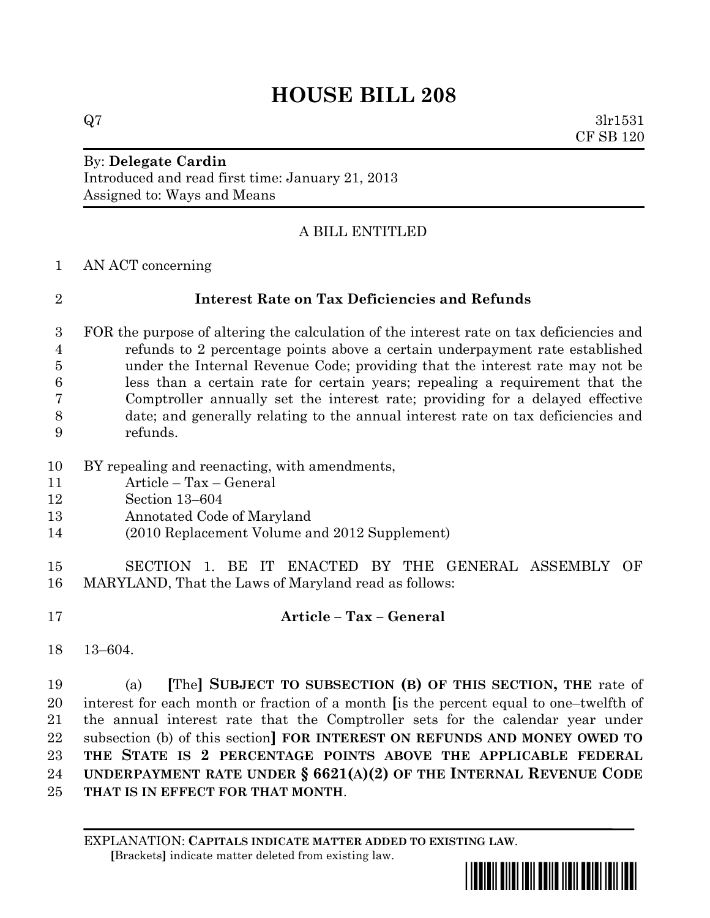# **HOUSE BILL 208**

 $Q7 \hspace{2.5cm} 3 \text{lr} 1531$ CF SB 120

### By: **Delegate Cardin** Introduced and read first time: January 21, 2013 Assigned to: Ways and Means

## A BILL ENTITLED

AN ACT concerning

### **Interest Rate on Tax Deficiencies and Refunds**

 FOR the purpose of altering the calculation of the interest rate on tax deficiencies and refunds to 2 percentage points above a certain underpayment rate established under the Internal Revenue Code; providing that the interest rate may not be less than a certain rate for certain years; repealing a requirement that the Comptroller annually set the interest rate; providing for a delayed effective date; and generally relating to the annual interest rate on tax deficiencies and refunds.

- BY repealing and reenacting, with amendments,
- Article Tax General
- Section 13–604
- Annotated Code of Maryland
- (2010 Replacement Volume and 2012 Supplement)
- SECTION 1. BE IT ENACTED BY THE GENERAL ASSEMBLY OF MARYLAND, That the Laws of Maryland read as follows:
- **Article – Tax – General**
- 13–604.

 (a) **[**The**] SUBJECT TO SUBSECTION (B) OF THIS SECTION, THE** rate of interest for each month or fraction of a month **[**is the percent equal to one–twelfth of the annual interest rate that the Comptroller sets for the calendar year under subsection (b) of this section**] FOR INTEREST ON REFUNDS AND MONEY OWED TO THE STATE IS 2 PERCENTAGE POINTS ABOVE THE APPLICABLE FEDERAL UNDERPAYMENT RATE UNDER § 6621(A)(2) OF THE INTERNAL REVENUE CODE THAT IS IN EFFECT FOR THAT MONTH**.